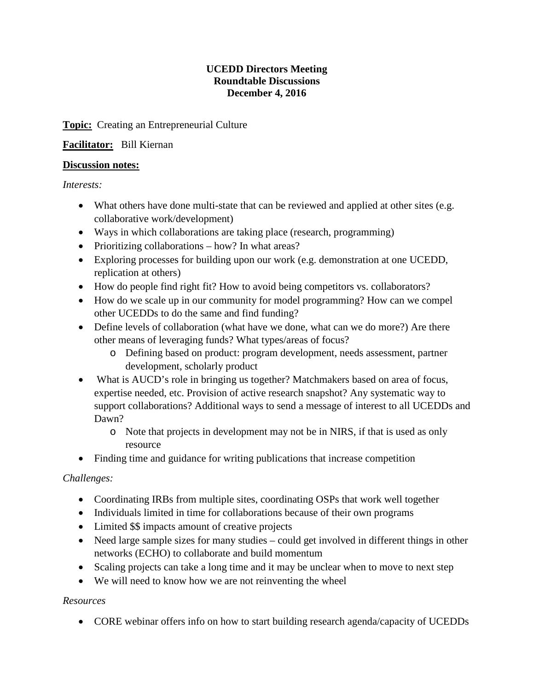#### **UCEDD Directors Meeting Roundtable Discussions December 4, 2016**

### **Topic:** Creating an Entrepreneurial Culture

### **Facilitator:** Bill Kiernan

#### **Discussion notes:**

*Interests:*

- What others have done multi-state that can be reviewed and applied at other sites (e.g. collaborative work/development)
- Ways in which collaborations are taking place (research, programming)
- Prioritizing collaborations how? In what areas?
- Exploring processes for building upon our work (e.g. demonstration at one UCEDD, replication at others)
- How do people find right fit? How to avoid being competitors vs. collaborators?
- How do we scale up in our community for model programming? How can we compel other UCEDDs to do the same and find funding?
- Define levels of collaboration (what have we done, what can we do more?) Are there other means of leveraging funds? What types/areas of focus?
	- o Defining based on product: program development, needs assessment, partner development, scholarly product
- What is AUCD's role in bringing us together? Matchmakers based on area of focus, expertise needed, etc. Provision of active research snapshot? Any systematic way to support collaborations? Additional ways to send a message of interest to all UCEDDs and Dawn?
	- o Note that projects in development may not be in NIRS, if that is used as only resource
- Finding time and guidance for writing publications that increase competition

# *Challenges:*

- Coordinating IRBs from multiple sites, coordinating OSPs that work well together
- Individuals limited in time for collaborations because of their own programs
- Limited \$\$ impacts amount of creative projects
- Need large sample sizes for many studies could get involved in different things in other networks (ECHO) to collaborate and build momentum
- Scaling projects can take a long time and it may be unclear when to move to next step
- We will need to know how we are not reinventing the wheel

#### *Resources*

• CORE webinar offers info on how to start building research agenda/capacity of UCEDDs